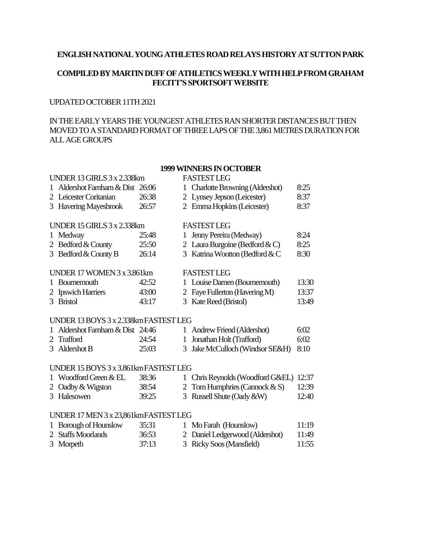#### **ENGLISH NATIONAL YOUNG ATHLETES ROAD RELAYS HISTORYAT SUTTON PARK**

## **COMPILED BY MARTIN DUFF OF ATHLETICS WEEKLY WITH HELP FROM GRAHAM FECITT'S SPORTSOFT WEBSITE**

### UPDATED OCTOBER11TH 2021

## IN THE EARLY YEARS THE YOUNGEST ATHLETESRAN SHORTER DISTANCES BUT THEN MOVED TO A STANDARD FORMAT OF THREE LAPS OF THE 3,861 METRES DURATION FOR ALL AGE GROUPS

### **1999 WINNERSIN OCTOBER**

# UNDER 13 GIRLS 3 x2.338km FASTEST LEG 1 Aldershot Farnham & Dist 26:06 1 Charlotte Browning (Aldershot) 8:25 2 Leicester Coritanian 26:38 2 Lynsey Jepson (Leicester) 8:37 3 Havering Mayesbrook 26:57 2 Emma Hopkins (Leicester) 8:37 UNDER 15 GIRLS 3 x2.338km FASTEST LEG 1 Medway 25:48 1 Jenny Pereira (Medway) 8:24 2 Bedford & County 25:50 2 Laura Burgoine (Bedford & C) 8:25 3 Bedford & County B 26:14 3 Katrina Wootton (Bedford & C  $8:30$ UNDER 17 WOMEN3 x3.861km FASTEST LEG 1 Bournemouth 42:52 1 Louise Damen (Bournemouth) 13:30 2 Ipswich Harriers 43:00 2 Faye Fullerton (Havering M) 13:37 3 Bristol 43:17 3 Kate Reed (Bristol) 13:49 UNDER 13 BOYS 3 x2.338kmFASTEST LEG 1 Aldershot Farnham & Dist 24:46 1 AndrewFriend (Aldershot) 6:02 2 Trafford 24:54 1 Jonathan Holt (Trafford) 6:02 3 Aldershot B 25:03 3 Jake McCulloch (Windsor SE&H) 8:10

### UNDER 15 BOYS 3 x3.861kmFASTEST LEG

| 1 Woodford Green & EL | 38:36 | 1 Chris Reynolds (Woodford G&EL) 12:37 |       |
|-----------------------|-------|----------------------------------------|-------|
| 2 Oadby & Wigston     | 38:54 | 2 Tom Humphries (Cannock $& S$ )       | 12:39 |
| 3 Halesowen           | 39:25 | 3 Russell Shute (Oady $\&\mathbf{W}$ ) | 12:40 |

#### UNDER 17 MEN3 x23,861kmFASTEST LEG

| 1 Borough of Hounslow | 35:31 | 1 Mo Farah (Hounslow)           | 11:19 |
|-----------------------|-------|---------------------------------|-------|
| 2 Staffs Moorlands    | 36:53 | 2 Daniel Ledgerwood (Aldershot) | 11:49 |
| 3 Morpeth             | 37:13 | 3 Ricky Soos (Mansfield)        | 11:55 |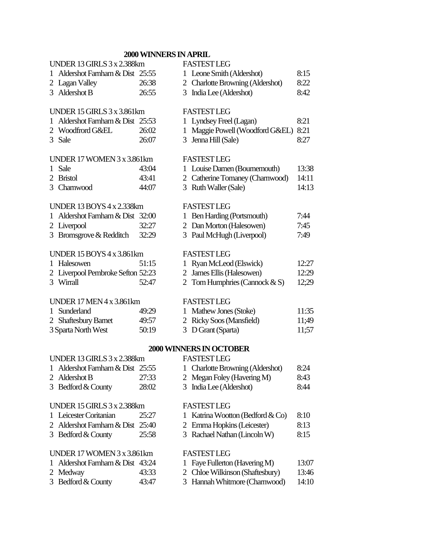# **2000 WINNERSIN APRIL**

| UNDER 13 GIRLS 3 x 2.388km          |       | <b>FASTEST LEG</b>                            |       |
|-------------------------------------|-------|-----------------------------------------------|-------|
| 1 Aldershot Farnham & Dist 25:55    |       | 1 Leone Smith (Aldershot)                     | 8:15  |
| 2 Lagan Valley                      | 26:38 | 2 Charlotte Browning (Aldershot)              | 8:22  |
| 3 Aldershot B                       | 26:55 | 3 India Lee (Aldershot)                       | 8:42  |
|                                     |       |                                               |       |
| UNDER 15 GIRLS 3 x 3.861km          |       | <b>FASTEST LEG</b>                            |       |
| Aldershot Farnham & Dist 25:53<br>1 |       | 1 Lyndsey Freel (Lagan)                       | 8:21  |
| 2 Woodfrord G&EL                    | 26:02 | Maggie Powell (Woodford G&EL)<br>$\mathbf{1}$ | 8:21  |
| 3 Sale                              | 26:07 | 3 Jenna Hill (Sale)                           | 8:27  |
| UNDER 17 WOMEN 3 x 3.861km          |       | <b>FASTEST LEG</b>                            |       |
| Sale<br>L                           | 43:04 | 1 Louise Damen (Bournemouth)                  | 13:38 |
| 2 Bristol                           | 43:41 | 2 Catherine Tomaney (Charnwood)               | 14:11 |
| 3 Charnwood                         | 44:07 | 3 Ruth Waller (Sale)                          | 14:13 |
|                                     |       |                                               |       |
| <b>UNDER 13 BOYS 4 x 2.338km</b>    |       | <b>FASTESTLEG</b>                             |       |
| Aldershot Farnham & Dist 32:00<br>1 |       | 1 Ben Harding (Portsmouth)                    | 7:44  |
| 2 Liverpool                         | 32:27 | 2 Dan Morton (Halesowen)                      | 7:45  |
| 3 Bromsgrove & Redditch             | 32:29 | 3 Paul McHugh (Liverpool)                     | 7:49  |
| <b>UNDER 15 BOYS 4 x 3.861km</b>    |       |                                               |       |
|                                     |       | <b>FASTEST LEG</b>                            |       |
| 1 Halesowen                         | 51:15 | 1 Ryan McLeod (Elswick)                       | 12:27 |
| 2 Liverpool Pembroke Sefton 52:23   |       | 2 James Ellis (Halesowen)                     | 12:29 |
| 3 Wirrall                           | 52:47 | 2 Tom Humphries (Cannock $& S$ )              | 12;29 |
| <b>UNDER 17 MEN 4 x 3.861km</b>     |       | <b>FASTEST LEG</b>                            |       |
| 1 Sunderland                        | 49:29 | 1 Mathew Jones (Stoke)                        | 11:35 |
| 2 Shaftesbury Barnet                | 49:57 | 2 Ricky Soos (Mansfield)                      | 11;49 |
| 3 Sparta North West                 | 50:19 | 3 D Grant (Sparta)                            | 11;57 |
|                                     |       |                                               |       |
|                                     |       | 2000 WINNERS IN OCTOBER                       |       |
| UNDER 13 GIRLS 3 x 2.388km          |       | <b>FASTEST LEG</b>                            |       |
| 1 Aldershot Farnham & Dist 25:55    |       | 1 Charlotte Browning (Aldershot)              | 8:24  |
| 2 Aldershot B                       | 27:33 | 2 Megan Foley (Havering M)                    | 8:43  |
| 3 Bedford & County                  | 28:02 | India Lee (Aldershot)<br>3                    | 8:44  |
| UNDER 15 GIRLS 3 x 2.388km          |       | <b>FASTEST LEG</b>                            |       |
| Leicester Coritanian                | 25:27 | 1 Katrina Wootton (Bedford & Co)              | 8:10  |
| 2 Aldershot Farnham & Dist 25:40    |       | 2 Emma Hopkins (Leicester)                    | 8:13  |
| 3 Bedford & County                  | 25:58 | 3 Rachael Nathan (Lincoln W)                  | 8:15  |
|                                     |       |                                               |       |
| UNDER 17 WOMEN 3 x 3.861km          |       | <b>FASTEST LEG</b>                            |       |
| Aldershot Farnham & Dist 43:24      |       | 1 Faye Fullerton (Havering M)                 | 13:07 |
| 2 Medway                            | 43:33 | 2 Chloe Wilkinson (Shaftesbury)               | 13:46 |
| 3 Bedford & County                  | 43:47 | 3 Hannah Whitmore (Charnwood)                 | 14:10 |
|                                     |       |                                               |       |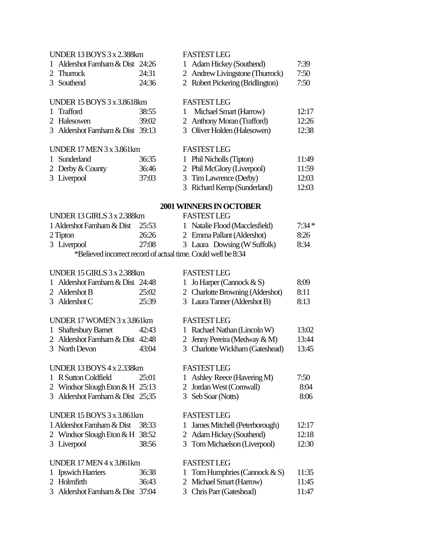# UNDER 13 BOYS3 x2.388km FASTEST LEG 1 Aldershot Farnham & Dist 24:26 1 Adam Hickey (Southend) 7:39 2 Thurrock 24:31 2 Andrew Livingstone (Thurrock) 7:50 3 Southend 24:36 2 Robert Pickering (Bridlington) 7:50 UNDER 15 BOYS 3 x3.8618km FASTEST LEG 1 Trafford 38:55 1 Michael Smart (Harrow) 12:17 2 Halesowen 39:02 2 AnthonyMoran (Trafford) 12:26 3 Aldershot Farnham & Dist 39:13 3 Oliver Holden (Halesowen) 12:38

#### UNDER 17 MEN3 x3.861km FASTEST LEG

| 1 Sunderland     | 36:35 |
|------------------|-------|
| 2 Derby & County | 36:46 |
| 3 Liverpool      | 37:03 |

| 36:35 | 1 Phil Nicholls (Tipton)    | 11:49 |
|-------|-----------------------------|-------|
| 36:46 | 2 Phil McGlory (Liverpool)  | 11:59 |
| 37:03 | 3 Tim Lawrence (Derby)      | 12:03 |
|       | 3 Richard Kemp (Sunderland) | 12:03 |
|       |                             |       |

## **2001 WINNERSIN OCTOBER**

| <b>UNDER 13 GIRLS 3 x 2.388km</b>                             |       | <b>FASTESTLEG</b> |                                |         |
|---------------------------------------------------------------|-------|-------------------|--------------------------------|---------|
| 1 Aldershot Farnham & Dist 25:53                              |       |                   | 1 Natalie Flood (Macclesfield) | $7.34*$ |
| 2 Tipton                                                      | 26:26 |                   | 2 Emma Pallant (Aldershot)     | 8:26    |
| 3 Liverpool                                                   | 27:08 |                   | 3 Laura Dowsing (W Suffolk)    | 8:34    |
| *Believed incorrect record of actual time. Could well be 8:34 |       |                   |                                |         |

# UNDER 15 GIRLS 3 x2.388km FASTEST LEG

| 1 Aldershot Farnham & Dist 24:48 |       |
|----------------------------------|-------|
| 2 Aldershot B                    | 25:02 |
| 3 Aldershot C                    | 25:39 |

### UNDER 17 WOMEN3 x3.861km FASTEST LEG

| 1 Shaftesbury Barnet             | 42:43 | 1 Rachael Na  |
|----------------------------------|-------|---------------|
| 2 Aldershot Farnham & Dist 42:48 |       | 2 Jenny Perei |

3 North Devon 43:04 3 Charlotte Wickham (Gateshead) 13:45

# UNDER 13 BOYS 4 x2.338km FASTEST LEG

- 1 R Sutton Coldfield 25:01
- 2 Windsor Slough Eton & H  $25:13$
- 

# UNDER 15 BOYS 3 x 3.861km FASTEST LEG

|                                    | 1 Aldershot Farnham & Dist 38:33 |                      |
|------------------------------------|----------------------------------|----------------------|
|                                    | 2 Windsor Slough Eton & H 38:52  |                      |
| $\sim$ $\sim$ $\sim$ $\sim$ $\sim$ |                                  | $\sim$ $\sim$ $\sim$ |

# UNDER 17 MEN4 x3.861km FASTEST LEG

- 
- 

| 1 Aldershot Farnham & Dist 24:48 |       | 1 Jo Harper (Cannock $\&$ S)     | 8:09  |
|----------------------------------|-------|----------------------------------|-------|
| 2 Aldershot B                    | 25:02 | 2 Charlotte Browning (Aldershot) | -8:11 |
| 3 Aldershot C                    | 25:39 | 3 Laura Tanner (Aldershot B)     | 8:13  |

| 1 Shaftesbury Barnet             | 42:43      | 1 Rachael Nathan (Lincoln W)    | 13:02 |
|----------------------------------|------------|---------------------------------|-------|
| 2 Aldershot Farnham & Dist 42:48 |            | 2 Jenny Pereira (Medway $\&$ M) | 13:44 |
| 2.1 <sub>D</sub>                 | $\sqrt{2}$ |                                 | 10.17 |

| 1 Ashley Reece (Havering M) | 7:50 |
|-----------------------------|------|
| 2 Jordan West (Cornwall)    | 8:04 |

3 Aldershot Farnham & Dist 25;35 3 Seb Soar (Notts) 8:06

- 1 James Mitchell (Peterborough) 12:17
- 2 Adam Hickey (Southend) 12:18
- 3 Liverpool 38:56 3 TomMichaelson (Liverpool) 12:30

- 1 Ipswich Harriers 36:38 1 Tom Humphries (Cannock & S) 11:35
- 2 Holmfirth 36:43 2 MichaelSmart (Harrow) 11:45
- 3 Aldershot Farnham & Dist 37:04 3 Chris Parr (Gateshead) 11:47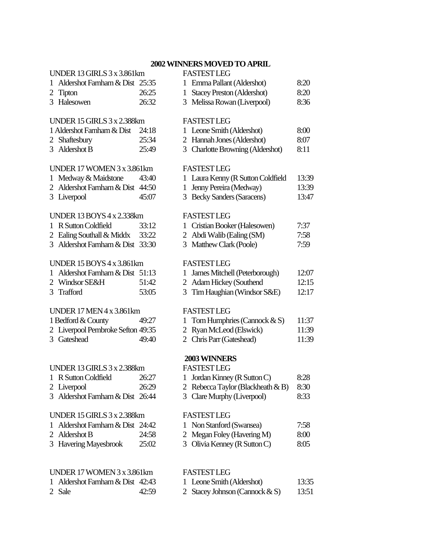# **2002 WINNERSMOVED TO APRIL**

| UNDER 13 GIRLS 3 x 3.861km          |       | <b>FASTEST LEG</b>                                |       |
|-------------------------------------|-------|---------------------------------------------------|-------|
| Aldershot Farnham & Dist 25:35<br>1 |       | 1 Emma Pallant (Aldershot)                        | 8:20  |
| <b>Tipton</b><br>2                  | 26:25 | <b>Stacey Preston (Aldershot)</b><br>$\mathbf{1}$ | 8:20  |
| 3 Halesowen                         | 26:32 | 3 Melissa Rowan (Liverpool)                       | 8:36  |
| <b>UNDER 15 GIRLS 3 x 2.388km</b>   |       | <b>FASTEST LEG</b>                                |       |
| 1 Aldershot Farnham & Dist          | 24:18 | 1 Leone Smith (Aldershot)                         | 8:00  |
| Shaftesbury<br>2                    | 25:34 | 2 Hannah Jones (Aldershot)                        | 8:07  |
| 3 Aldershot B                       | 25:49 | 3 Charlotte Browning (Aldershot)                  | 8:11  |
| UNDER 17 WOMEN 3 x 3.861km          |       | <b>FASTEST LEG</b>                                |       |
| 1 Medway & Maidstone                | 43:40 | 1 Laura Kenny (R Sutton Coldfield                 | 13:39 |
| 2 Aldershot Farnham & Dist          | 44:50 | Jenny Pereira (Medway)<br>$\mathbf{1}$            | 13:39 |
| 3 Liverpool                         | 45:07 | 3 Becky Sanders (Saracens)                        | 13:47 |
| <b>UNDER 13 BOYS 4 x 2.338km</b>    |       | <b>FASTEST LEG</b>                                |       |
| R Sutton Coldfield<br>1             | 33:12 | Cristian Booker (Halesowen)<br>1                  | 7:37  |
| Ealing Southall & Middx<br>2        | 33:22 | 2 Abdi Walib (Ealing (SM)                         | 7:58  |
| 3 Aldershot Farnham & Dist 33:30    |       | 3 Matthew Clark (Poole)                           | 7:59  |
| <b>UNDER 15 BOYS 4 x 3.861km</b>    |       | <b>FASTEST LEG</b>                                |       |
| Aldershot Farnham & Dist 51:13<br>1 |       | James Mitchell (Peterborough)<br>$\mathbf{1}$     | 12:07 |
| 2 Windsor SE&H                      | 51:42 | 2 Adam Hickey (Southend                           | 12:15 |
| 3 Trafford                          | 53:05 | Tim Haughian (Windsor S&E)<br>3                   | 12:17 |
| <b>UNDER 17 MEN 4 x 3.861km</b>     |       | <b>FASTEST LEG</b>                                |       |
| 1 Bedford & County                  | 49:27 | Tom Humphries (Cannock $& S$ )<br>1               | 11:37 |
| 2 Liverpool Pembroke Sefton 49:35   |       | 2 Ryan McLeod (Elswick)                           | 11:39 |
| 3 Gateshead                         | 49:40 | 2 Chris Parr (Gateshead)                          | 11:39 |
|                                     |       | 2003 WINNERS                                      |       |
| <b>UNDER 13 GIRLS 3 x 2.388km</b>   |       | <b>FASTEST LEG</b>                                |       |
| 1 R Sutton Coldfield                | 26:27 | 1 Jordan Kinney (R Sutton C)                      | 8:28  |
| 2 Liverpool                         | 26:29 | 2 Rebecca Taylor (Blackheath $\&$ B)              | 8:30  |
| 3 Aldershot Farnham & Dist 26:44    |       | 3 Clare Murphy (Liverpool)                        | 8:33  |
| <b>UNDER 15 GIRLS 3 x 2.388km</b>   |       | <b>FASTEST LEG</b>                                |       |
| Aldershot Farnham & Dist 24:42      |       | Non Stanford (Swansea)<br>1                       | 7:58  |
| Aldershot B<br>2                    | 24:58 | 2 Megan Foley (Havering M)                        | 8:00  |
| <b>Havering Mayesbrook</b><br>3     | 25:02 | 3 Olivia Kenney (R Sutton C)                      | 8:05  |
|                                     |       |                                                   |       |
| UNDER 17 WOMEN 3 x 3.861km          |       | <b>FASTEST LEG</b>                                |       |

- 1 Aldershot Farnham & Dist 42:43 1 Leone Smith (Aldershot) 13:35<br>2 Sale 42:59 2 Stacey Johnson (Cannock & S) 13:51
	- 42:59 2 Stacey Johnson (Cannock & S) 13:51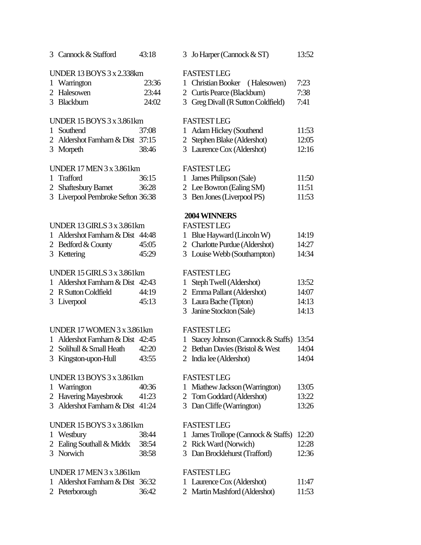| 3 Cannock & Stafford              | 43:18 |                | 3 Jo Harper (Cannock & ST)             | 13:52 |
|-----------------------------------|-------|----------------|----------------------------------------|-------|
| <b>UNDER 13 BOYS 3 x 2.338km</b>  |       |                | <b>FASTEST LEG</b>                     |       |
| 1 Warrington                      | 23:36 | $\mathbf{1}$   | <b>Christian Booker</b><br>(Halesowen) | 7:23  |
| 2 Halesowen                       | 23:44 |                | 2 Curtis Pearce (Blackburn)            | 7:38  |
| 3 Blackburn                       | 24:02 |                | 3 Greg Divall (R Sutton Coldfield)     | 7:41  |
|                                   |       |                |                                        |       |
| UNDER 15 BOYS 3 x 3.861km         |       |                | <b>FASTEST LEG</b>                     |       |
| 1 Southend                        | 37:08 | 1              | <b>Adam Hickey (Southend</b>           | 11:53 |
| 2 Aldershot Farnham & Dist 37:15  |       | $\overline{2}$ | Stephen Blake (Aldershot)              | 12:05 |
| 3 Morpeth                         | 38:46 |                | 3 Laurence Cox (Aldershot)             | 12:16 |
| <b>UNDER 17 MEN 3 x 3.861km</b>   |       |                | <b>FASTEST LEG</b>                     |       |
| 1 Trafford                        | 36:15 | 1              | James Philipson (Sale)                 | 11:50 |
| 2 Shaftesbury Barnet              | 36:28 |                | 2 Lee Bowron (Ealing SM)               | 11:51 |
| 3 Liverpool Pembroke Sefton 36:38 |       |                | 3 Ben Jones (Liverpool PS)             | 11:53 |
|                                   |       |                |                                        |       |
|                                   |       |                | 2004 WINNERS                           |       |
| UNDER 13 GIRLS 3 x 3.861km        |       |                | <b>FASTEST LEG</b>                     |       |
| 1 Aldershot Farnham & Dist 44:48  |       |                | 1 Blue Hayward (Lincoln W)             | 14:19 |
| 2 Bedford & County                | 45:05 |                | 2 Charlotte Purdue (Aldershot)         | 14:27 |
| 3 Kettering                       | 45:29 |                | 3 Louise Webb (Southampton)            | 14:34 |
| UNDER 15 GIRLS 3 x 3.861km        |       |                | <b>FASTEST LEG</b>                     |       |
| 1 Aldershot Farnham & Dist 42:43  |       | $\mathbf{1}$   | Steph Twell (Aldershot)                | 13:52 |
| 2 R Sutton Coldfield              | 44:19 |                | 2 Emma Pallant (Aldershot)             | 14:07 |
| 3 Liverpool                       | 45:13 |                | 3 Laura Bache (Tipton)                 | 14:13 |
|                                   |       | 3              | Janine Stockton (Sale)                 | 14:13 |
| UNDER 17 WOMEN 3 x 3.861km        |       |                | <b>FASTEST LEG</b>                     |       |
| 1 Aldershot Farnham & Dist 42:45  |       | 1              | Stacey Johnson (Cannock & Staffs)      | 13:54 |
| 2 Solihull & Small Heath          | 42:20 |                | 2 Bethan Davies (Bristol & West        | 14:04 |
| 3 Kingston-upon-Hull              | 43:55 |                | 2 India lee (Aldershot)                | 14:04 |
|                                   |       |                |                                        |       |
| <b>UNDER 13 BOYS 3 x 3.861km</b>  |       |                | <b>FASTEST LEG</b>                     |       |
| 1 Warrington                      | 40:36 |                | 1 Miathew Jackson (Warrington)         | 13:05 |
| 2 Havering Mayesbrook             | 41:23 |                | 2 Tom Goddard (Aldershot)              | 13:22 |
| 3 Aldershot Farnham & Dist 41:24  |       |                | 3 Dan Cliffe (Warrington)              | 13:26 |
| UNDER 15 BOYS 3 x 3.861km         |       |                | <b>FASTEST LEG</b>                     |       |
| 1 Westbury                        | 38:44 | 1              | James Trollope (Cannock & Staffs)      | 12:20 |
| 2 Ealing Southall & Middx         | 38:54 |                | 2 Rick Ward (Norwich)                  | 12:28 |
| 3 Norwich                         | 38:58 |                | 3 Dan Brocklehurst (Trafford)          | 12:36 |
| <b>UNDER 17 MEN 3 x 3.861km</b>   |       |                | <b>FASTEST LEG</b>                     |       |
|                                   |       |                |                                        |       |

| 2 Curtis Pearce (Blackburn)        | 7:38  |
|------------------------------------|-------|
| 3 Greg Divall (R Sutton Coldfield) | 7:41  |
|                                    |       |
| <b>FASTEST LEG</b>                 |       |
| 1 Adam Hickey (Southend            | 11:53 |
| 2 Stephen Blake (Aldershot)        | 12:05 |
| 3 Laurence Cox (Aldershot)         | 12:16 |
|                                    |       |

| 1 James Philipson (Sale) |                          | 11:50 |
|--------------------------|--------------------------|-------|
|                          | 2 Lee Bowron (Ealing SM) | 11:51 |
|                          |                          | --    |

# **2004 WINNERS**

| 1 Blue Hayward (Lincoln W)     | 14:19 |
|--------------------------------|-------|
| 2 Charlotte Purdue (Aldershot) | 14:27 |

| 1 Steph Twell (Aldershot)  | 13:52 |
|----------------------------|-------|
| 2 Emma Pallant (Aldershot) | 14:07 |
| 3 Laura Bache (Tipton)     | 14:13 |
| 3 Janine Stockton (Sale)   | 14:13 |

|  | 1 Stacey Johnson (Cannock & Staffs) 13:54 |  |
|--|-------------------------------------------|--|
|--|-------------------------------------------|--|

- $2$  Bristol & West 14:04
- 

| Miathew Jackson (Warrington) | 13:05 |
|------------------------------|-------|
| 2 Tom Goddard (Aldershot)    | 13:22 |

- 
- Varrington) 13:26

|  |  |  |  |  | 1 James Trollope (Cannock & Staffs) 12:20 |  |
|--|--|--|--|--|-------------------------------------------|--|
|--|--|--|--|--|-------------------------------------------|--|

- 
- hurst (Trafford) 12:36

| 1 Aldershot Farnham & Dist 36:32 |       | 1 Laurence Cox (Aldershot)    | 11:47 |
|----------------------------------|-------|-------------------------------|-------|
| 2 Peterborough                   | 36:42 | 2 Martin Mashford (Aldershot) | 11:53 |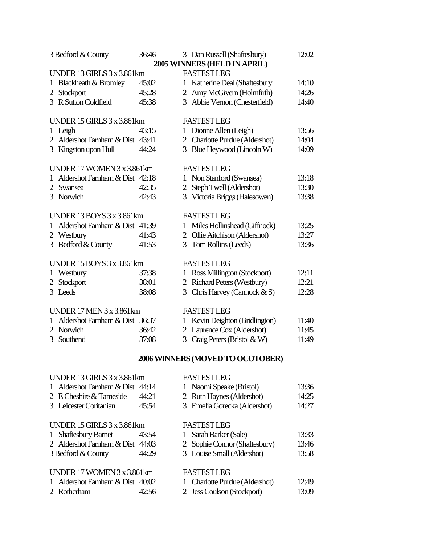| 3 Bedford & County                   | 36:46 |   | 3 Dan Russell (Shaftesbury)    | 12:02 |  |
|--------------------------------------|-------|---|--------------------------------|-------|--|
|                                      |       |   | 2005 WINNERS (HELD IN APRIL)   |       |  |
| UNDER 13 GIRLS 3 x 3.861km           |       |   | <b>FASTESTLEG</b>              |       |  |
| <b>Blackheath &amp; Bromley</b><br>1 | 45:02 |   | 1 Katherine Deal (Shaftesbury  | 14:10 |  |
| 2 Stockport                          | 45:28 |   | 2 Amy McGivern (Holmfirth)     | 14:26 |  |
| 3 R Sutton Coldfield                 | 45:38 |   | 3 Abbie Vernon (Chesterfield)  | 14:40 |  |
| UNDER 15 GIRLS 3 x 3.861km           |       |   | <b>FASTEST LEG</b>             |       |  |
| Leigh<br>$\mathbf 1$                 | 43:15 |   | 1 Dionne Allen (Leigh)         | 13:56 |  |
| 2 Aldershot Farnham & Dist 43:41     |       |   | 2 Charlotte Purdue (Aldershot) | 14:04 |  |
| 3 Kingston upon Hull                 | 44:24 |   | 3 Blue Heywood (Lincoln W)     | 14:09 |  |
| UNDER 17 WOMEN 3 x 3.861km           |       |   | <b>FASTEST LEG</b>             |       |  |
| Aldershot Farnham & Dist 42:18<br>1  |       |   | 1 Non Stanford (Swansea)       | 13:18 |  |
| 2 Swansea                            | 42:35 |   | 2 Steph Twell (Aldershot)      | 13:30 |  |
| 3 Norwich                            | 42:43 |   | 3 Victoria Briggs (Halesowen)  | 13:38 |  |
| <b>UNDER 13 BOYS 3 x 3.861 km</b>    |       |   | <b>FASTEST LEG</b>             |       |  |
| Aldershot Farnham & Dist 41:39<br>1  |       |   | 1 Miles Hollinshead (Giffnock) | 13:25 |  |
| 2 Westbury                           | 41:43 |   | 2 Ollie Aitchison (Aldershot)  | 13:27 |  |
| 3 Bedford & County                   | 41:53 |   | 3 Tom Rollins (Leeds)          | 13:36 |  |
| <b>UNDER 15 BOYS 3 x 3.861km</b>     |       |   | <b>FASTEST LEG</b>             |       |  |
| Westbury<br>1                        | 37:38 |   | 1 Ross Millington (Stockport)  | 12:11 |  |
| 2 Stockport                          | 38:01 |   | 2 Richard Peters (Westbury)    | 12:21 |  |
| 3 Leeds                              | 38:08 |   | 3 Chris Harvey (Cannock & S)   | 12:28 |  |
| <b>UNDER 17 MEN 3 x 3.861km</b>      |       |   | <b>FASTEST LEG</b>             |       |  |
| Aldershot Farnham & Dist 36:37<br>1  |       | 1 | Kevin Deighton (Bridlington)   | 11:40 |  |
| Norwich<br>2                         | 36:42 |   | 2 Laurence Cox (Aldershot)     | 11:45 |  |
| 3 Southend                           | 37:08 |   | 3 Craig Peters (Bristol & W)   | 11:49 |  |
| 2006 WINNERS (MOVED TO OCOTOBER)     |       |   |                                |       |  |

# UNDER 13 GIRLS 3 x3.861km FASTEST LEG

|              | 1 Aldershot Farnham & Dist       | 44:14 | 1 Naomi Speake (Bristol)            | 13:36 |
|--------------|----------------------------------|-------|-------------------------------------|-------|
|              | 2 E Cheshire & Tameside          | 44:21 | 2 Ruth Haynes (Aldershot)           | 14:25 |
|              | 3 Leicester Coritanian           | 45:54 | 3 Emelia Gorecka (Aldershot)        | 14:27 |
|              | UNDER 15 GIRLS 3 x 3.861km       |       | <b>FASTEST LEG</b>                  |       |
| $\mathbf{1}$ | <b>Shaftesbury Barnet</b>        | 43:54 | Sarah Barker (Sale)                 | 13:33 |
|              | 2 Aldershot Farnham & Dist 44:03 |       | 2 Sophie Connor (Shaftesbury)       | 13:46 |
|              | 3 Bedford & County               | 44:29 | 3 Louise Small (Aldershot)          | 13:58 |
|              | UNDER 17 WOMEN 3 x 3.861km       |       | <b>FASTEST LEG</b>                  |       |
|              | 1 Aldershot Farnham & Dist 40:02 |       | <b>Charlotte Purdue (Aldershot)</b> | 12:49 |
|              | 2 Rotherham                      | 42:56 | 2 Jess Coulson (Stockport)          | 13:09 |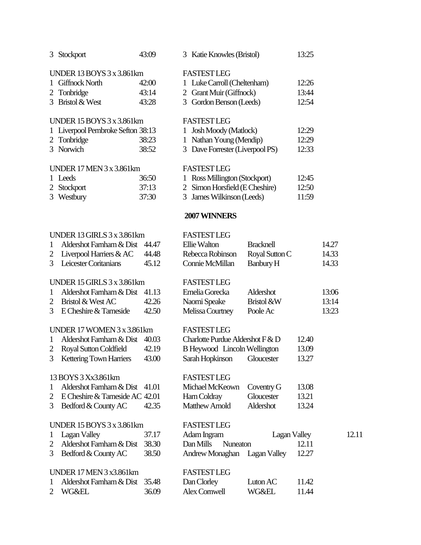|              | 3 Stockport                       | 43:09 |              | 3 Katie Knowles (Bristol)           |                  | 13:25 |       |       |
|--------------|-----------------------------------|-------|--------------|-------------------------------------|------------------|-------|-------|-------|
|              | <b>UNDER 13 BOYS 3 x 3.861km</b>  |       |              | <b>FASTEST LEG</b>                  |                  |       |       |       |
|              | 1 Giffnock North                  | 42:00 |              | 1 Luke Carroll (Cheltenham)         |                  | 12:26 |       |       |
|              | 2 Tonbridge                       | 43:14 |              | 2 Grant Muir (Giffnock)             |                  | 13:44 |       |       |
|              | 3 Bristol & West                  | 43:28 |              | 3 Gordon Benson (Leeds)             |                  | 12:54 |       |       |
|              | <b>UNDER 15 BOYS 3 x 3.861km</b>  |       |              | <b>FASTEST LEG</b>                  |                  |       |       |       |
|              | 1 Liverpool Pembroke Sefton 38:13 |       | $\mathbf{1}$ | <b>Josh Moody (Matlock)</b>         |                  | 12:29 |       |       |
|              | 2 Tonbridge                       | 38:23 |              | 1 Nathan Young (Mendip)             |                  | 12:29 |       |       |
|              | 3 Norwich                         | 38:52 |              | 3 Dave Forrester (Liverpool PS)     |                  | 12:33 |       |       |
|              | <b>UNDER 17 MEN 3 x 3.861km</b>   |       |              | <b>FASTEST LEG</b>                  |                  |       |       |       |
|              | 1 Leeds                           | 36:50 |              | 1 Ross Millington (Stockport)       |                  | 12:45 |       |       |
|              | 2 Stockport                       | 37:13 |              | 2 Simon Horsfield (E Cheshire)      |                  | 12:50 |       |       |
|              | 3 Westbury                        | 37:30 |              | 3 James Wilkinson (Leeds)           |                  | 11:59 |       |       |
|              |                                   |       |              | 2007 WINNERS                        |                  |       |       |       |
|              | <b>UNDER 13 GIRLS 3 x 3.861km</b> |       |              | <b>FASTEST LEG</b>                  |                  |       |       |       |
| $\mathbf{1}$ | Aldershot Farnham & Dist          | 44.47 |              | Ellie Walton                        | <b>Bracknell</b> |       | 14.27 |       |
| 2            | Liverpool Harriers & AC           | 44.48 |              | Rebecca Robinson                    | Royal Sutton C   |       | 14.33 |       |
| 3            | Leicester Coritanians             | 45.12 |              | Connie McMillan                     | Banbury H        |       | 14.33 |       |
|              | UNDER 15 GIRLS 3 x 3.861km        |       |              | <b>FASTEST LEG</b>                  |                  |       |       |       |
| $\mathbf{1}$ | Aldershot Farnham & Dist          | 41.13 |              | Emelia Gorecka                      | Aldershot        |       | 13:06 |       |
| 2            | Bristol & West AC                 | 42.26 |              | Naomi Speake                        | Bristol &W       |       | 13:14 |       |
| 3            | E Cheshire & Tameside             | 42.50 |              | Melissa Courtney                    | Poole Ac         |       | 13:23 |       |
|              | UNDER 17 WOMEN 3 x 3.861km        |       |              | <b>FASTEST LEG</b>                  |                  |       |       |       |
| $\mathbf{1}$ | Aldershot Farnham & Dist          | 40.03 |              | Charlotte Purdue Aldershot F & D    |                  | 12.40 |       |       |
| 2            | Royal Sutton Coldfield            | 42.19 |              | <b>B</b> Heywood Lincoln Wellington |                  | 13.09 |       |       |
| 3            | <b>Kettering Town Harriers</b>    | 43.00 |              | Sarah Hopkinson                     | Gloucester       | 13.27 |       |       |
|              | 13 BOYS 3 Xx3.861km               |       |              | <b>FASTESTLEG</b>                   |                  |       |       |       |
| 1            | Aldershot Farnham & Dist 41.01    |       |              | Michael McKeown                     | Coventry G       | 13.08 |       |       |
| 2            | E Cheshire & Tameside AC 42.01    |       |              | Harn Coldray                        | Gloucester       | 13.21 |       |       |
| 3            | Bedford & County AC               | 42.35 |              | <b>Matthew Arnold</b>               | Aldershot        | 13.24 |       |       |
|              | <b>UNDER 15 BOYS 3 x 3.861km</b>  |       |              | <b>FASTEST LEG</b>                  |                  |       |       |       |
| 1            | <b>Lagan Valley</b>               | 37.17 |              | Adam Ingram                         | Lagan Valley     |       |       | 12.11 |
| 2            | Aldershot Farnham & Dist          | 38.30 |              | Dan Mills<br>Nuneaton               |                  | 12.11 |       |       |
| 3            | Bedford & County AC               | 38.50 |              | Andrew Monaghan                     | Lagan Valley     | 12.27 |       |       |
|              | <b>UNDER 17 MEN 3 x3.861km</b>    |       |              | <b>FASTEST LEG</b>                  |                  |       |       |       |
| 1            | Aldershot Farnham & Dist          | 35.48 |              | Dan Clorley                         | Luton AC         | 11.42 |       |       |
| 2            | <b>WG&amp;EL</b>                  | 36.09 |              | Alex Cornwell                       | <b>WG&amp;EL</b> | 11.44 |       |       |
|              |                                   |       |              |                                     |                  |       |       |       |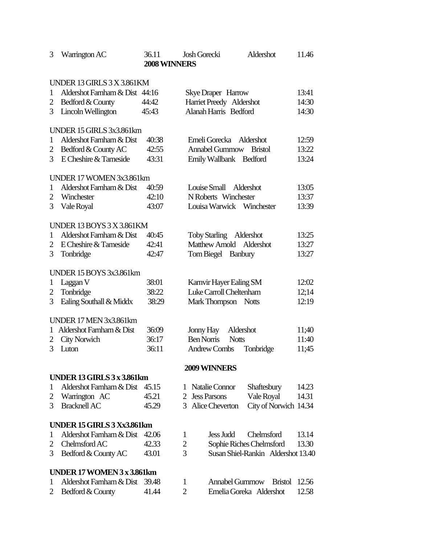| 3 | Warrington AC                  | 36.11<br>2008 WINNERS | Aldershot<br><b>Josh Gorecki</b>              | 11.46 |
|---|--------------------------------|-----------------------|-----------------------------------------------|-------|
|   |                                |                       |                                               |       |
|   | UNDER 13 GIRLS 3 X 3.861KM     |                       |                                               |       |
| 1 | Aldershot Farnham & Dist 44:16 |                       | <b>Skye Draper</b> Harrow                     | 13:41 |
| 2 | Bedford & County               | 44:42                 | Harriet Preedy Aldershot                      | 14:30 |
| 3 | Lincoln Wellington             | 45:43                 | Alanah Harris Bedford                         | 14:30 |
|   | UNDER 15 GIRLS 3x3.861km       |                       |                                               |       |
| 1 | Aldershot Farnham & Dist       | 40:38                 | Emeli Gorecka<br>Aldershot                    | 12:59 |
| 2 | Bedford & County AC            | 42:55                 | <b>Annabel Gummow</b><br><b>Bristol</b>       | 13:22 |
| 3 | E Cheshire & Tameside          | 43:31                 | Emily Wallbank Bedford                        | 13:24 |
|   | UNDER 17 WOMEN 3x3.861km       |                       |                                               |       |
| 1 | Aldershot Farnham & Dist       | 40:59                 | Louise Small Aldershot                        | 13:05 |
| 2 | Winchester                     | 42:10                 | N Roberts Winchester                          | 13:37 |
| 3 | Vale Royal                     | 43:07                 | Louisa Warwick Winchester                     | 13:39 |
|   | UNDER 13 BOYS 3 X 3.861KM      |                       |                                               |       |
| 1 | Aldershot Farnham & Dist       | 40:45                 | Toby Starling Aldershot                       | 13:25 |
| 2 | E Cheshire & Tameside          | 42:41                 | Matthew Arnold Aldershot                      | 13:27 |
| 3 | Tonbridge                      | 42:47                 | Tom Biegel Banbury                            | 13:27 |
|   |                                |                       |                                               |       |
|   | UNDER 15 BOYS 3x3.861km        |                       |                                               |       |
| 1 | Laggan V                       | 38:01                 | Karnvir Hayer Ealing SM                       | 12:02 |
| 2 | Tonbridge                      | 38:22                 | Luke Carroll Cheltenham                       | 12;14 |
| 3 | Ealing Southall & Middx        | 38:29                 | Mark Thompson Notts                           | 12:19 |
|   | UNDER 17 MEN 3x3.861km         |                       |                                               |       |
| 1 | Aldershot Farnham & Dist       | 36:09                 | Jonny Hay<br>Aldershot                        | 11;40 |
| 2 | <b>City Norwich</b>            | 36:17                 | <b>Ben Norris</b><br><b>Notts</b>             | 11:40 |
| 3 | Luton                          | 36:11                 | <b>Andrew Combs</b><br>Tonbridge              | 11;45 |
|   |                                |                       | 2009 WINNERS                                  |       |
|   | UNDER 13 GIRLS 3 x 3.861km     |                       |                                               |       |
| 1 | Aldershot Farnham & Dist 45.15 |                       | Natalie Connor<br>Shaftesbury<br>1            | 14.23 |
| 2 | Warrington AC                  | 45.21                 | <b>Jess Parsons</b><br>Vale Royal<br>2        | 14.31 |
| 3 | <b>Bracknell AC</b>            | 45.29                 | City of Norwich 14.34<br>3<br>Alice Cheverton |       |
|   | UNDER 15 GIRLS 3 Xx3.861km     |                       |                                               |       |
| 1 | Aldershot Farnham & Dist       | 42.06                 | <b>Jess Judd</b><br>Chelmsford<br>1           | 13.14 |
| 2 | Chelmsford AC                  | 42.33                 | $\overline{c}$<br>Sophie Riches Chelmsford    | 13.30 |
| 3 | Bedford & County AC            | 43.01                 | 3<br>Susan Shiel-Rankin Aldershot 13.40       |       |
|   | UNDER 17 WOMEN 3 x 3.861km     |                       |                                               |       |
| 1 | Aldershot Farnham & Dist       | 39.48                 | <b>Annabel Gummow</b><br>1<br><b>Bristol</b>  | 12.56 |
| 2 | Bedford & County               | 41.44                 | $\overline{2}$<br>Emelia Goreka Aldershot     | 12.58 |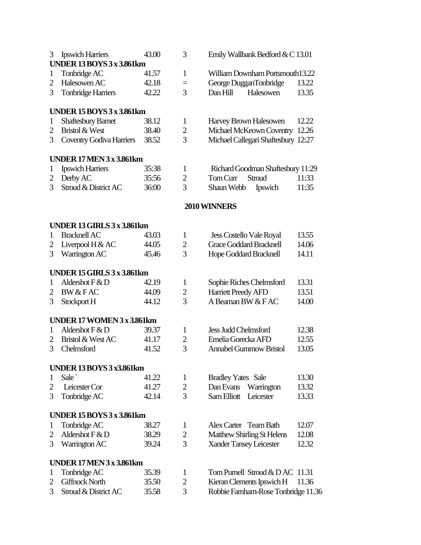| 3              | <b>Ipswich Harriers</b><br><b>UNDER 13 BOYS 3 x 3.861km</b> | 43.00 | 3              | Emily Wallbank Bedford & C 13.01    |       |
|----------------|-------------------------------------------------------------|-------|----------------|-------------------------------------|-------|
| $\mathbf{1}$   | Tonbridge AC                                                | 41.57 | $\mathbf{1}$   | William Downham Portsmouth13.22     |       |
| 2              | Halesowen AC                                                | 42.18 | $=$            | George DugganTonbridge              | 13.22 |
| 3              | <b>Tonbridge Harriers</b>                                   | 42.22 | $\overline{3}$ | Dan Hill<br>Halesowen               | 13.35 |
|                | <b>UNDER 15 BOYS 3 x 3.861km</b>                            |       |                |                                     |       |
| 1              | <b>Shaftesbury Barnet</b>                                   | 38.12 | 1              | Harvey Brown Halesowen              | 12.22 |
| $\overline{2}$ | Bristol & West                                              | 38.40 | $\overline{2}$ | Michael McKeown Coventry 12.26      |       |
| 3              | <b>Coventry Godiva Harriers</b>                             | 38.52 | 3              | Michael Callegari Shaftesbury 12:27 |       |
|                | <b>UNDER 17 MEN 3 x 3.861km</b>                             |       |                |                                     |       |
| 1              | <b>Ipswich Harriers</b>                                     | 35:38 | $\mathbf{1}$   | Richard Goodman Shaftesbury 11:29   |       |
| 2              | Derby AC                                                    | 35:56 | $\overline{2}$ | Tom Curr<br>Stroud                  | 11:33 |
| 3              | Stroud & District AC                                        | 36:00 | 3              | Ipswich<br>Shaun Webb               | 11:35 |
|                |                                                             |       |                | 2010 WINNERS                        |       |
|                | UNDER 13 GIRLS 3 x 3.861km                                  |       |                |                                     |       |
| 1              | <b>Bracknell AC</b>                                         | 43.03 | $\mathbf{1}$   | <b>Jess Costello Vale Royal</b>     | 13.55 |
| 2              | Liverpool $H & AC$                                          | 44.05 | $\overline{2}$ | <b>Grace Goddard Bracknell</b>      | 14.06 |
| 3              | Warrington AC                                               | 45.46 | 3              | <b>Hope Goddard Bracknell</b>       | 14.11 |
|                | UNDER 15 GIRLS 3 x 3.861km                                  |       |                |                                     |       |
| 1              | Aldershot $F & D$                                           | 42.19 | 1              | Sophie Riches Chelmsford            | 13.31 |
| 2              | <b>BW &amp; FAC</b>                                         | 44.09 | $\overline{2}$ | <b>Harriett Preedy AFD</b>          | 13.51 |
| 3              | Stockport H                                                 | 44.12 | 3              | A Beaman BW & FAC                   | 14.00 |
|                | <b>UNDER 17 WOMEN 3 x 3.861km</b>                           |       |                |                                     |       |
| 1              | Aldershot $F & D$                                           | 39.37 | $\mathbf{1}$   | <b>Jess Judd Chelmsford</b>         | 12.38 |
| 2              | Bristol & West AC                                           | 41.17 | $\overline{2}$ | Emelia Gorecka AFD                  | 12.55 |
| 3              | Chelmsford                                                  | 41.52 | 3              | <b>Annabel Gummow Bristol</b>       | 13.05 |
|                | <b>UNDER 13 BOYS 3 x3.861km</b>                             |       |                |                                     |       |
| 1              | Sale                                                        | 41.22 | $\mathbf{1}$   | <b>Bradley Yates</b> Sale           | 13.30 |
| 2              | Leicester Cor                                               | 41.27 | $\overline{2}$ | Dan Evans<br>Warrington             | 13.32 |
| 3              | Tonbridge AC                                                | 42.14 | 3              | Leicester<br>Sam Elliott            | 13.33 |
|                | <b>UNDER 15 BOYS 3 x 3.861km</b>                            |       |                |                                     |       |
| $\mathbf 1$    | Tonbridge AC                                                | 38.27 | $\mathbf{1}$   | Alex Carter Team Bath               | 12.07 |
| 2              | Aldershot $F & D$                                           | 38.29 | $\overline{2}$ | Matthew Shirling St Helens          | 12.08 |
| 3              | Warrington AC                                               | 39.24 | $\overline{3}$ | <b>Xander Tansey Leicester</b>      | 12.32 |
|                | <b>UNDER 17 MEN 3 x 3.861km</b>                             |       |                |                                     |       |
| 1              | Tonbridge AC                                                | 35.39 | 1              | Tom Purnell Stroud & DAC 11.31      |       |
| 2              | <b>Giffnock North</b>                                       | 35.50 | $\overline{2}$ | Kieran Clements Ipswich H           | 11.36 |
| 3              | Stroud & District AC                                        | 35.58 | 3              | Robbie Farnham-Rose Tonbridge 11.36 |       |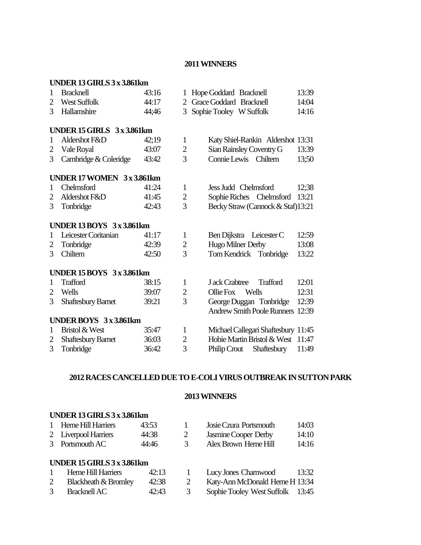#### **2011 WINNERS**

|                | UNDER 13 GIRLS 3 x 3.861km       |       |                |                                         |       |
|----------------|----------------------------------|-------|----------------|-----------------------------------------|-------|
| 1              | <b>Bracknell</b>                 | 43:16 | 1              | Hope Goddard Bracknell                  | 13:39 |
| 2              | <b>West Suffolk</b>              | 44:17 | 2              | Grace Goddard Bracknell                 | 14:04 |
| 3              | Hallamshire                      | 44;46 | 3              | Sophie Tooley W Suffolk                 | 14:16 |
|                |                                  |       |                |                                         |       |
|                | UNDER 15 GIRLS 3 x 3.861km       |       |                |                                         |       |
| 1              | Aldershot F&D                    | 42:19 | $\mathbf{1}$   | Katy Shiel-Rankin Aldershot 13:31       |       |
| 2              | Vale Royal                       | 43:07 | $\overline{c}$ | Sian Rainsley Coventry G                | 13:39 |
| 3              | Cambridge & Coleridge            | 43:42 | 3              | Connie Lewis Chiltern                   | 13;50 |
|                |                                  |       |                |                                         |       |
|                | UNDER 17 WOMEN 3x3.861km         |       |                |                                         |       |
| 1              | Chelmsford                       | 41:24 | 1              | Jess Judd Chelmsford                    | 12:38 |
| 2              | Aldershot F&D                    | 41:45 | $\overline{c}$ | Sophie Riches Chelmsford                | 13:21 |
| 3              | Tonbridge                        | 42:43 | $\overline{3}$ | Becky Straw (Cannock & Staf)13:21       |       |
|                | <b>UNDER 13 BOYS 3 x 3.861km</b> |       |                |                                         |       |
| 1              | Leicester Coritanian             | 41:17 | $\mathbf{1}$   | Ben Dijkstra Leicester C                | 12:59 |
| 2              | Tonbridge                        | 42:39 | $\overline{2}$ | Hugo Milner Derby                       | 13:08 |
| 3              | Chiltern                         | 42:50 | 3              | Tom Kendrick Tonbridge                  | 13:22 |
|                |                                  |       |                |                                         |       |
|                | UNDER $15$ BOYS $3x3.861$ km     |       |                |                                         |       |
| 1              | <b>Trafford</b>                  | 38:15 | $\mathbf{1}$   | J ack Crabtree<br><b>Trafford</b>       | 12:01 |
| $\overline{2}$ | Wells                            | 39:07 | $\overline{2}$ | Wells<br>Ollie Fox                      | 12:31 |
| 3              | <b>Shaftesbury Barnet</b>        | 39:21 | 3              | George Duggan Tonbridge                 | 12:39 |
|                |                                  |       |                | <b>Andrew Smith Poole Runners 12:39</b> |       |
|                | UNDER BOYS 3x3.861km             |       |                |                                         |       |
| 1              | Bristol & West                   | 35:47 | 1              | Michael Callegari Shaftesbury 11:45     |       |
| 2              | <b>Shaftesbury Barnet</b>        | 36:03 | $\overline{c}$ | Hobie Martin Bristol & West             | 11:47 |
| 3              | Tonbridge                        | 36:42 | $\overline{3}$ | <b>Philip Crout</b><br>Shaftesbury      | 11:49 |

# **2012 RACES CANCELLED DUE TO E-COLIVIRUS OUTBREAK IN SUTTON PARK**

# **2013 WINNERS**

## **UNDER 13 GIRLS 3 x 3.861km**

|              | 1 Herne Hill Harriers             | 43:53 |              | Josie Czura Portsmouth      | 14:03 |  |  |
|--------------|-----------------------------------|-------|--------------|-----------------------------|-------|--|--|
|              | 2 Liverpool Harriers              | 44:38 | 2            | <b>Jasmine Cooper Derby</b> | 14:10 |  |  |
|              | 3 Portsmouth AC                   | 44:46 | 3            | Alex Brown Herne Hill       | 14:16 |  |  |
|              | <b>UNDER 15 GIRLS 3 x 3.861km</b> |       |              |                             |       |  |  |
| $\mathbf{1}$ | Herne Hill Harriers               | 42:13 | $\mathbf{1}$ | Lucy Jones Charnwood        | 13:32 |  |  |

|   | T TRITCTHILICATIONS  | $+2.1.1$ | 1 LUCY JUILS CHAMPOOL            | 19.94 |
|---|----------------------|----------|----------------------------------|-------|
|   | Blackheath & Bromley | 42:38    | Katy-Ann McDonald Herne H 13:34  |       |
| 3 | Bracknell AC         | 42:43    | Sophie Tooley West Suffolk 13:45 |       |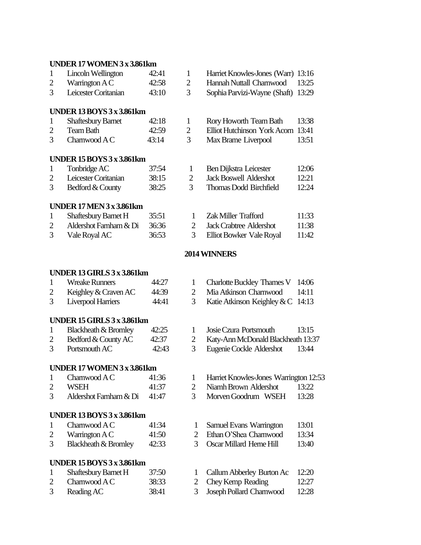#### **UNDER 17 WOMEN 3 x 3.861km**

| $\mathbf{1}$   | Lincoln Wellington                | 42:41 | $\mathbf{1}$   | Harriet Knowles-Jones (Warr)           | 13:16 |
|----------------|-----------------------------------|-------|----------------|----------------------------------------|-------|
| $\overline{c}$ | Warrington A C                    | 42:58 | $\overline{2}$ | Hannah Nuttall Charnwood               | 13:25 |
| 3              | Leicester Coritanian              | 43:10 | 3              | Sophia Parvizi-Wayne (Shaft)           | 13:29 |
|                | <b>UNDER 13 BOYS 3 x 3.861km</b>  |       |                |                                        |       |
| $\mathbf{1}$   | <b>Shaftesbury Barnet</b>         | 42:18 | $\mathbf{1}$   | Rory Howorth Team Bath                 | 13:38 |
| $\overline{2}$ | <b>Team Bath</b>                  | 42:59 | $\overline{c}$ | Elliot Hutchinson York Acorn           | 13:41 |
| 3              | Charnwood A C                     | 43:14 | 3              | Max Brame Liverpool                    | 13:51 |
|                | <b>UNDER 15 BOYS 3 x 3.861km</b>  |       |                |                                        |       |
| $\mathbf{1}$   | Tonbridge AC                      | 37:54 | $\mathbf{1}$   | Ben Dijkstra Leicester                 | 12:06 |
| $\overline{2}$ | Leicester Coritanian              | 38:15 | $\mathbf{2}$   | <b>Jack Boswell Aldershot</b>          | 12:21 |
| 3              | Bedford & County                  | 38:25 | 3              | <b>Thomas Dodd Birchfield</b>          | 12:24 |
|                | <b>UNDER 17 MEN 3 x 3.861km</b>   |       |                |                                        |       |
| $\mathbf{1}$   | Shaftesbury Barnet H              | 35:51 | 1              | Zak Miller Trafford                    | 11:33 |
| $\overline{2}$ | Aldershot Farnham & Di            | 36:36 | $\overline{2}$ | <b>Jack Crabtree Aldershot</b>         | 11:38 |
| 3              | Vale Royal AC                     | 36:53 | 3              | Elliot Bowker Vale Royal               | 11:42 |
|                |                                   |       |                | 2014 WINNERS                           |       |
|                | UNDER 13 GIRLS 3 x 3.861km        |       |                |                                        |       |
| 1              | <b>Wreake Runners</b>             | 44:27 | $\mathbf 1$    | <b>Charlotte Buckley Thames V</b>      | 14:06 |
| $\overline{2}$ | Keighley & Craven AC              | 44:39 | $\overline{2}$ | Mia Atkinson Charnwood                 | 14:11 |
| 3              | <b>Liverpool Harriers</b>         | 44:41 | 3              | Katie Atkinson Keighley & C            | 14:13 |
|                | UNDER 15 GIRLS 3 x 3.861km        |       |                |                                        |       |
| $\mathbf{1}$   | <b>Blackheath &amp; Bromley</b>   | 42:25 | $\mathbf{1}$   | Josie Czura Portsmouth                 | 13:15 |
| $\overline{2}$ | Bedford & County AC               | 42:37 | $\overline{2}$ | Katy-Ann McDonald Blackheath 13:37     |       |
| 3              | Portsmouth AC                     | 42:43 | 3              | Eugenie Cockle Aldershot               | 13:44 |
|                | <b>UNDER 17 WOMEN 3 x 3.861km</b> |       |                |                                        |       |
| $\mathbf{1}$   | Charnwood $AC$                    | 41:36 | 1              | Harriet Knowles-Jones Warrington 12:53 |       |

- 2 WSEH 41:37 2 Niamh Brown Aldershot 13:22<br>3 Aldershot Farnham & Di 41:47 3 Morven Goodrum WSEH 13:28
- 

### **UNDER 13 BOYS 3 x3.861km**

- 
- 
- 

# **UNDER 15 BOYS 3 x3.861km**

| Shaftesbury Barnet H | 37:50 | 1 Callum Abberley Burton Ac | - 12:20 |
|----------------------|-------|-----------------------------|---------|
| Charnwood A C        | 38:33 | 2 Chey Kemp Reading         | 12:27   |
| Reading AC           | 38:41 | 3 Joseph Pollard Charnwood  | 12:28   |

- 
- 
- 41:47 3 Morven Goodrum WSEH 13:28
- 1 Charnwood A C 41:34 1 Samuel Evans Warrington 13:01
- 2 Warrington A C 41:50 2 Ethan O'Shea Charnwood 13:34<br>
3 Blackheath & Bromley 42:33 3 Oscar Millard Herne Hill 13:40
- 3 Blackheath & Bromley 42:33 3 Oscar Millard Herne Hill 13:40
	- 1 Callum Abberley Burton Ac 12:20
		-
- 3 Reading AC 38:41 3 Joseph Pollard Charnwood 12:28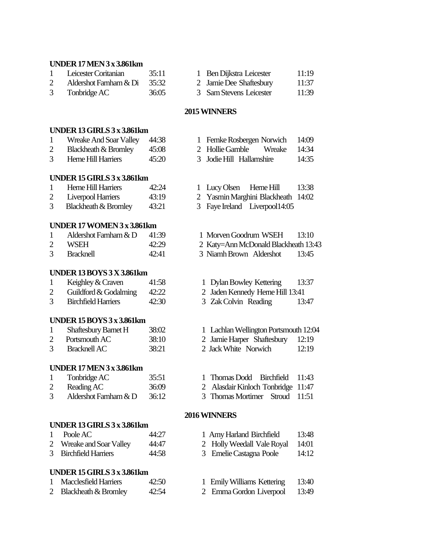#### **UNDER 17 MEN 3 x3.861km**

| Leicester Coritanian         | 35:11 |  |
|------------------------------|-------|--|
| Aldershot Farnham & Di 35:32 |       |  |
|                              |       |  |

- 
- Ben Dijkstra Leicester 11:19
- Jamie Dee Shaftesbury 11:37
- 3 Tonbridge AC 36:05 3 Sam Stevens Leicester 11:39

#### **2015 WINNERS**

### **UNDER 13 GIRLS 3 x 3.861km**

- 1 Wreake And Soar Valley 44:38 1 Femke Rosbergen Norwich 14:09
- 2 Blackheath & Bromley 45:08 2 Hollie Gamble Wreake 14:34
- 3 Herne Hill Harriers 45:20 3 Jodie Hill Hallamshire 14:35

### **UNDER 15 GIRLS 3 x 3.861km**

| Herne Hill Harriers       | 42:24 |
|---------------------------|-------|
| <b>Liverpool Harriers</b> | 43:19 |

3 Blackheath & Bromley 43:21 3 Faye Ireland Liverpool 14:05

#### **UNDER 17 WOMEN 3 x 3.861km**

| Aldershot Farnham $& D$ | 41:39 |
|-------------------------|-------|
|                         |       |

- 
- 

### **UNDER 13 BOYS 3 X3.861km**

|   | Keighley & Craven                                 | 41:58 |
|---|---------------------------------------------------|-------|
| ◠ | $C_{\rm eff}$ and $C_{\rm eff}$ and $C_{\rm eff}$ | 10.00 |

2 Guildford & Godalming 42:22 2 Jaden Kennedy Herne Hill 13:41<br>3 Birchfield Harriers 42:30 3 Zak Colvin Reading 13:

#### **UNDER 15 BOYS 3 x3.861km**

2 Portsmouth AC 38:10 2 Jamie Harper Shaftesbury 12:19 3 Bracknell AC 38:21 2 Jack White Norwich 12:19

#### **UNDER 17 MEN 3 x3.861km**

- 
- 3 Aldershot Farnham & D 36:12 3 Thomas Mortimer Stroud 11:51

#### **UNDER 13 GIRLS 3 x 3.861km**

- 1 Poole AC 44:27 1 Amy Harland Birchfield 13:48
- 2 Wreake and Soar Valley 44:47 2 Holly Weedall Vale Royal 14:01
- 3 Birchfield Harriers 44:58 3 Emelie Castagna Poole 14:12

#### **UNDER 15 GIRLS 3 x 3.861km**

- 
- 
- 
- 4 1 Lucy Olsen Herne Hill 13:38
- 2 Yasmin Marghini Blackheath 14:02
	-
- 9 1 Morven Goodrum WSEH 13:10
- 2 WSEH 42:29 2 Katy=Ann McDonald Blackheath 13:43
- 3 Bracknell 42:41 3 Niamh Brown Aldershot 13:45
	- 1 Dylan Bowley Kettering 13:37
	-
- 3 Birchfield Harriers 42:30 3 Zak Colvin Reading 13:47
- 1 Shaftesbury Barnet H 38:02 1 Lachlan Wellington Portsmouth 12:04
	-
	-
- 1 Tonbridge AC 35:51 1 Thomas Dodd Birchfield 11:43
- 2 Reading AC 36:09 2 Alasdair Kinloch Tonbridge 11:47
	-

#### **2016 WINNERS**

- 
- 
- 
- 1 Emily Williams Kettering 13:40
- 2 Blackheath & Bromley 42:54 2 Emma Gordon Liverpool 13:49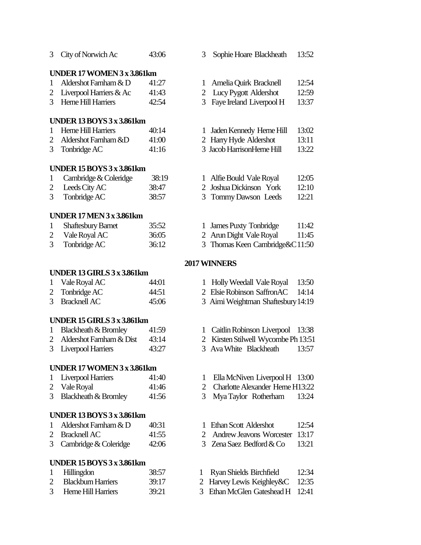| 3            | City of Norwich Ac                      | 43:06          | 3                   | Sophie Hoare Blackheath                             | 13:52          |
|--------------|-----------------------------------------|----------------|---------------------|-----------------------------------------------------|----------------|
|              | <b>UNDER 17 WOMEN 3 x 3.861km</b>       |                |                     |                                                     |                |
| 1            | Aldershot Farnham & D                   | 41:27          | 1                   | Amelia Quirk Bracknell                              | 12:54          |
| 2            | Liverpool Harriers & Ac                 | 41:43          | $\overline{2}$      | Lucy Pygott Aldershot                               | 12:59          |
| 3            | Herne Hill Harriers                     | 42:54          | 3                   | Faye Ireland Liverpool H                            | 13:37          |
|              |                                         |                |                     |                                                     |                |
|              | <b>UNDER 13 BOYS 3 x 3.861km</b>        |                |                     |                                                     |                |
| 1            | Herne Hill Harriers                     | 40:14          | 1                   | Jaden Kennedy Herne Hill                            | 13:02          |
| 2            | Aldershot Farnham &D                    | 41:00          |                     | 2 Harry Hyde Aldershot                              | 13:11          |
| 3            | Tonbridge AC                            | 41:16          |                     | 3 Jacob HarrisonHerne Hill                          | 13:22          |
|              | <b>UNDER 15 BOYS 3 x 3.861km</b>        |                |                     |                                                     |                |
| 1            | Cambridge & Coleridge                   | 38:19          |                     | 1 Alfie Bould Vale Royal                            | 12:05          |
| 2            | Leeds City AC                           | 38:47          | 2                   | Joshua Dickinson York                               | 12:10          |
| 3            | Tonbridge AC                            | 38:57          | 3                   | Tommy Dawson Leeds                                  | 12:21          |
|              |                                         |                |                     |                                                     |                |
|              | <b>UNDER 17 MEN 3 x 3.861km</b>         |                |                     |                                                     |                |
| $\mathbf{1}$ | <b>Shaftesbury Barnet</b>               | 35:52          | 1                   | <b>James Puxty Tonbridge</b>                        | 11:42          |
| 2            | Vale Royal AC                           | 36:05          |                     | 2 Arun Dight Vale Royal                             | 11:45          |
| 3            | Tonbridge AC                            | 36:12          | 3 <sup>7</sup>      | Thomas Keen Cambridge&C11:50                        |                |
|              |                                         |                |                     | 2017 WINNERS                                        |                |
|              | UNDER 13 GIRLS 3 x 3.861km              |                |                     |                                                     |                |
| 1            | Vale Royal AC                           | 44:01          | 1                   | Holly Weedall Vale Royal                            | 13:50          |
| 2            | Tonbridge AC                            | 44:51          |                     | 2 Elsie Robinson SaffronAC                          | 14:14          |
| 3            | <b>Bracknell AC</b>                     | 45:06          |                     | 3 Aimi Weightman Shaftesbury 14:19                  |                |
|              | UNDER 15 GIRLS 3 x 3.861km              |                |                     |                                                     |                |
| 1            | <b>Blackheath &amp; Bromley</b>         | 41:59          | 1                   | Caitlin Robinson Liverpool                          | 13:38          |
| 2            | Aldershot Farnham & Dist                | 43:14          | 2                   | Kirsten Stilwell Wycombe Ph 13:51                   |                |
| 3            | <b>Liverpool Harriers</b>               | 43:27          | 3                   | Ava White Blackheath                                | 13:57          |
|              |                                         |                |                     |                                                     |                |
|              | <b>UNDER 17 WOMEN 3 x 3.861km</b>       |                |                     |                                                     |                |
| 1            | <b>Liverpool Harriers</b>               | 41:40          | 1                   | Ella McNiven Liverpool H 13:00                      |                |
| 2            | Vale Royal                              | 41:46          | $\overline{2}$      | <b>Charlotte Alexander Herne H13:22</b>             |                |
| 3            | <b>Blackheath &amp; Bromley</b>         | 41:56          | 3                   | Mya Taylor Rotherham                                | 13:24          |
|              | <b>UNDER 13 BOYS 3 x 3.861km</b>        |                |                     |                                                     |                |
| 1            | Aldershot Farnham & D                   | 40:31          | 1                   | Ethan Scott Aldershot                               | 12:54          |
| 2            | <b>Bracknell AC</b>                     | 41:55          | $\overline{2}$      | <b>Andrew Jeavons Worcester</b>                     | 13:17          |
| 3            | Cambridge & Coleridge                   | 42:06          | 3                   | Zena Saez Bedford & Co                              | 13:21          |
|              |                                         |                |                     |                                                     |                |
|              | <b>UNDER 15 BOYS 3 x 3.861km</b>        |                |                     |                                                     |                |
| 1            | Hillingdon<br><b>Blackburn Harriers</b> | 38:57          | $\bf{l}$            | Ryan Shields Birchfield                             | 12:34<br>12:35 |
| 2<br>3       | Herne Hill Harriers                     | 39:17<br>39:21 | $\overline{2}$<br>3 | Harvey Lewis Keighley&C<br>Ethan McGlen Gateshead H | 12:41          |
|              |                                         |                |                     |                                                     |                |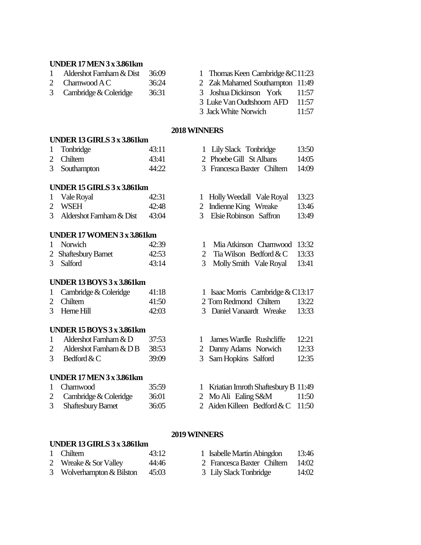#### **UNDER 17 MEN 3 x3.861km**

- 1 Aldershot Farnham & Dist 36:09 1 Thomas Keen Cambridge & C11:23
- 
- 
- 2 Charnwood A C 36:24 2 Zak Mahamed Southampton 11:49 3 Cambridge & Coleridge 36:31 3 Joshua Dickinson York 11:57 3 Luke Van Oudtshoorn AFD 11:57 3 Jack White Norwich 11:57

#### **2018 WINNERS**

#### **UNDER 13 GIRLS 3 x 3.861km**

1 Tonbridge 43:11 1 Lily Slack Tonbridge 13:50 2 Chiltern 43:41 2 Phoebe Gill St Albans 14:05 3 Southampton 44:22 3 Francesca Baxter Chiltern 14:09

#### **UNDER 15 GIRLS 3 x 3.861km**

| 1 Vale Royal                  | 42:31         |
|-------------------------------|---------------|
| 2 WSEH                        | 42:48         |
| 3 Aldershot Farnham $\&$ Dist | $\Delta$ 3.04 |

#### **UNDER 17 WOMEN 3 x 3.861km**

| 1 Norwich            | 42:39 |
|----------------------|-------|
| 2 Shaftesbury Barnet | 42:53 |
| 3 Salford            | 43:14 |

#### **UNDER 13 BOYS 3 x3.861km**

| 1 Cambridge & Coleridge | 41:18 |
|-------------------------|-------|
| 2 Chiltern              | 41:50 |

### **UNDER 15 BOYS 3 x3.861km**

- 
- 
- 

### **UNDER 17 MEN 3 x3.861km**

| 1 Chamwood              | 35:59 |  |
|-------------------------|-------|--|
| 2 Cambridge & Coleridge | 36:01 |  |

3 Shaftesbury Barnet 36:05 2 Aiden Killeen Bedford & C 11:50

- 
- 
- 1 Holly Weedall Vale Royal 13:23
- 2 Indienne King Wreake 13:46
- 3 Aldershot Farnham & Dist 43:04 3 Elsie Robinson Saffron 13:49
	- 1 Mia Atkinson Charnwood 13:32
	- 2 Tia Wilson Bedford  $&C$  13:33
	- 3 Molly Smith Vale Royal 13:41
	- 1 Isaac Morris Cambridge  $& C13:17$
	- 2 Tom Redmond Chiltern 13:22
- 3 Herne Hill 42:03 3 Daniel Vanaardt Wreake 13:33
- 1 Aldershot Farnham & D 37:53 1 James Wardle Rushcliffe 12:21
- 2 Aldershot Farnham & D B 38:53 2 Danny Adams Norwich 12:33
- 3 Bedford & C 39:09 3 Sam Hopkins Salford 12:35
	- 1 Kriatian Imroth Shaftesbury B 11:49 2 Mo Ali Ealing S&M 11:50
	-
	-

# **2019WINNERS**

# **UNDER 13 GIRLS 3 x 3.861km**

| 1 Chiltern                | 43:12 | 1 Isabelle Martin Abingdon        | 13:46 |
|---------------------------|-------|-----------------------------------|-------|
| 2 Wreake $&$ Sor Valley   | 44:46 | 2 Francesca Baxter Chiltern 14:02 |       |
| 3 Wolverhampton & Bilston | 45:03 | 3 Lily Slack Tonbridge            | 14:02 |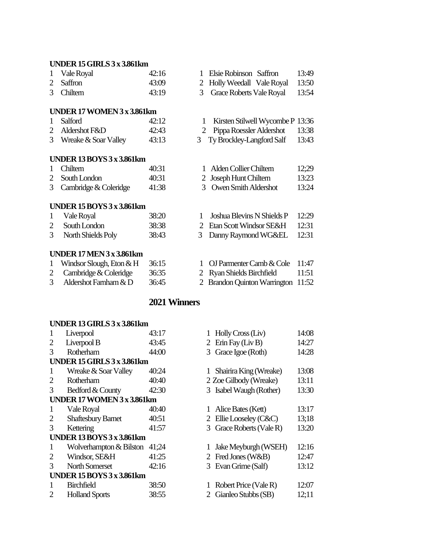#### **UNDER 15 GIRLS 3 x 3.861km**

| 1 Vale Royal | 42:16 |
|--------------|-------|
| 2 Saffron    | 43:09 |
| 3 Chiltern   | 43.19 |

#### **UNDER 17 WOMEN 3 x 3.861km**

|   | 1 Salford |                   | 42:12 |
|---|-----------|-------------------|-------|
| ⌒ | 11        | 1.70 <sub>D</sub> |       |

#### **UNDER 13 BOYS 3 x3.861km**

|        | 1 Chiltern     | 40:31 |  |
|--------|----------------|-------|--|
|        | 2 South London | 40:31 |  |
| $\sim$ | .              |       |  |

| 3 Cambridge $\&$ Coleridge | 41 : 4 |
|----------------------------|--------|
|                            |        |

# **UNDER 15 BOYS 3 x3.861km**

| Vale Royal         | 38:20 |
|--------------------|-------|
| 2 South London     | 38:38 |
| North Shields Poly | 38:43 |

#### **UNDER 17 MEN 3 x3.861km**

| Windsor Slough, Eton $\&$ H | -36:15 | 1 OJ Parmenter Camb & Cole 11:47   |       |
|-----------------------------|--------|------------------------------------|-------|
| 2 Cambridge $&$ Coleridge   | 36:35  | 2 Ryan Shields Birchfield          | 11:51 |
| 3 Aldershot Farnham $\&$ D  | 36:45  | 2 Brandon Quinton Warrington 11:52 |       |

# **2021 Winners**

#### **UNDER 13 GIRLS 3 x 3.861km**

| 1             | Liverpool                        | 43:17 |   | 1 Holly Cross (Liv)      | 14:08 |
|---------------|----------------------------------|-------|---|--------------------------|-------|
| 2             | Liverpool B                      | 43:45 |   | 2 Erin Fay (Liv B)       | 14:27 |
| 3             | Rotherham                        | 44:00 |   | 3 Grace Igoe (Roth)      | 14:28 |
|               | UNDER $15$ GIRLS $3x$ 3.861 km   |       |   |                          |       |
| 1             | Wreake & Soar Valley             | 40:24 |   | Shairira King (Wreake)   | 13:08 |
| 2             | Rotherham                        | 40:40 |   | 2 Zoe Gilbody (Wreake)   | 13:11 |
| 3             | Bedford & County                 | 42:30 |   | 3 Isabel Waugh (Rother)  | 13:30 |
|               | UNDER 17 WOMEN 3 x 3.861km       |       |   |                          |       |
| 1             | Vale Royal                       | 40:40 |   | Alice Bates (Kett)       | 13:17 |
| 2             | <b>Shaftesbury Barnet</b>        | 40:51 | 2 | Ellie Looseley (C&C)     | 13;18 |
| 3             | Kettering                        | 41:57 |   | 3 Grace Roberts (Vale R) | 13:20 |
|               | <b>UNDER 13 BOYS 3 x 3.861km</b> |       |   |                          |       |
| 1             | Wolverhampton & Bilston          | 41;24 |   | Jake Meyburgh (WSEH)     | 12:16 |
| 2             | Windsor, SE&H                    | 41:25 |   | 2 Fred Jones (W&B)       | 12:47 |
| $\mathcal{R}$ | North Somerset                   | 42:16 |   | 3 Evan Grime (Salf)      | 13:12 |
|               | <b>UNDER 15 BOYS 3 x 3.861km</b> |       |   |                          |       |
|               | <b>Birchfield</b>                | 38:50 |   | Robert Price (Vale R)    | 12:07 |
| 2             | <b>Holland Sports</b>            | 38:55 |   | Gianleo Stubbs (SB)      | 12;11 |

- 1 Elsie Robinson Saffron 13:49 2 Holly Weedall Vale Royal 13:50
- 3 Chiltern 43:19 3 Grace Roberts Vale Royal 13:54
	- 1 Kirsten Stilwell Wycombe P 13:36
- 2 Aldershot F&D 42:43 2 Pippa RoesslerAldershot 13:38
- 3 Wreake & Soar Valley 43:13 3 Ty Brockley-Langford Salf 13:43
	- Alden Collier Chiltern 12;29
	- Joseph Hunt Chiltern 13:23
	- 38 3 Owen Smith Aldershot 13:24
	- 1 Vale Royal 38:20 1 Joshua Blevins N Shields P 12:29
		- 2 Etan Scott Windsor SE&H 12:31
	- ly 38:43 3 Danny Raymond WG&EL 12:31
		-
		-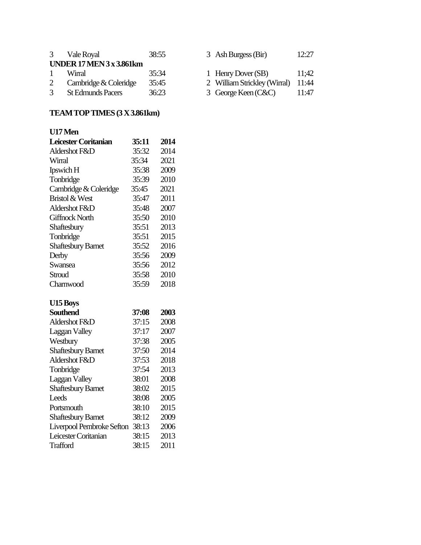|    | 3 Vale Royal                 | 38:55 | 3 Ash Burgess (Bir)                | 12:27 |
|----|------------------------------|-------|------------------------------------|-------|
|    | UNDER $17$ MEN $3x$ 3.861 km |       |                                    |       |
| -1 | Wirral                       | 35:34 | 1 Henry Dover (SB)                 | 11:42 |
| 2  | Cambridge & Coleridge        | 35:45 | 2 William Strickley (Wirral) 11:44 |       |
| 3  | <b>St Edmunds Pacers</b>     | 36:23 | 3 George Keen (C&C)                | 11:47 |

## **TEAM TOP TIMES(3 X3.861km)**

| U17 Men                   |       |      |
|---------------------------|-------|------|
| Leicester Coritanian      | 35:11 | 2014 |
| Aldershot F&D             | 35:32 | 2014 |
| Wirral                    | 35:34 | 2021 |
| Ipswich H                 | 35:38 | 2009 |
| Tonbridge                 | 35:39 | 2010 |
| Cambridge & Coleridge     | 35:45 | 2021 |
| <b>Bristol &amp; West</b> | 35:47 | 2011 |
| Aldershot F&D             | 35:48 | 2007 |
| <b>Giffnock North</b>     | 35:50 | 2010 |
| Shaftesbury               | 35:51 | 2013 |
| Tonbridge                 | 35:51 | 2015 |
| <b>Shaftesbury Barnet</b> | 35:52 | 2016 |
| Derby                     | 35:56 | 2009 |
| Swansea                   | 35:56 | 2012 |
| Stroud                    | 35:58 | 2010 |
| Charnwood                 | 35:59 | 2018 |
| <b>U15 Boys</b>           |       |      |
| <b>Southend</b>           | 37:08 | 2003 |
| Aldershot F&D             | 37:15 | 2008 |
| Laggan Valley             | 37:17 | 2007 |
| Westbury                  | 37:38 | 2005 |
| <b>Shaftesbury Barnet</b> | 37:50 | 2014 |
| Aldershot F&D             | 37:53 | 2018 |
| Tonbridge                 | 37:54 | 2013 |
| <b>Laggan Valley</b>      | 38:01 | 2008 |
| <b>Shaftesbury Barnet</b> | 38:02 | 2015 |
| Leeds                     | 38:08 | 2005 |
| Portsmouth                | 38:10 | 2015 |
| <b>Shaftesbury Barnet</b> | 38:12 | 2009 |
| Liverpool Pembroke Sefton | 38:13 | 2006 |
| Leicester Coritanian      | 38:15 | 2013 |
| <b>Trafford</b>           | 38:15 | 2011 |

|  | 3 Ash Burgess (Bir) | 12:27 |
|--|---------------------|-------|
|--|---------------------|-------|

- 1 Henry Dover (SB) 11;42
- 
- 2 William Strickley (Wirral) 11:44<br>3 George Keen (C&C) 11:47 3 George Keen (C&C)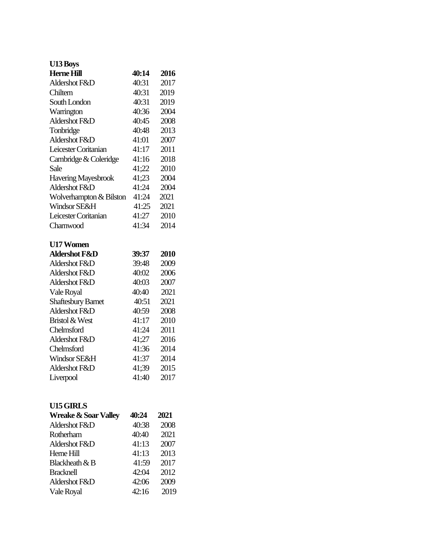# **U13 Boys Herne Hill 40:14 2016** Aldershot F&D 40:31 2017 Chiltern 40:31 2019 South London 40:31 2019 Warrington 40:36 2004 Aldershot F&D 40:45 2008 Tonbridge 40:48 2013 Aldershot F&D 41:01 2007 Leicester Coritanian 41:17 2011 Cambridge  $&$  Coleridge 41:16 2018 Sale 41;22 2010 Havering Mayesbrook 41;23 2004 Aldershot F&D 41:24 2004 Wolverhampton & Bilston 41:24 2021 Windsor SE&H 41:25 2021 Leicester Coritanian 41:27 2010 Charnwood 41:34 2014 **U17 Women Aldershot F&D 39:37 2010** Aldershot F&D 39:48 2009 Aldershot F&D 40:02 2006 Aldershot F&D 40:03 2007 Vale Royal 40:40 2021 Shaftesbury Barnet 40:51 2021 Aldershot F&D 40:59 2008 Bristol & West 41:17 2010 Chelmsford 41:24 2011 Aldershot F&D 41;27 2016 Chelmsford 41:36 2014 Windsor SE&H 41:37 2014 Aldershot F&D 41;39 2015 Liverpool 41:40 2017

#### **U15 GIRLS**

| <b>Wreake &amp; Soar Valley</b> | 40:24 | 2021 |
|---------------------------------|-------|------|
| Aldershot F&D                   | 40:38 | 2008 |
| Rotherham                       | 40:40 | 2021 |
| Aldershot F&D                   | 41:13 | 2007 |
| Heme Hill                       | 41:13 | 2013 |
| Blackheath & B                  | 41:59 | 2017 |
| <b>Bracknell</b>                | 42:04 | 2012 |
| Aldershot F&D                   | 42:06 | 2009 |
| Vale Royal                      | 42:16 | 2019 |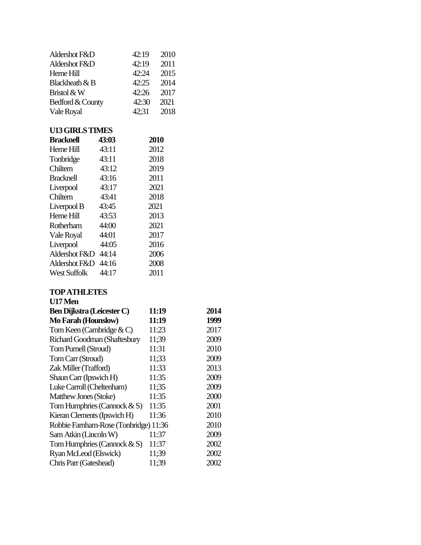| Aldershot F&D<br>Aldershot F&D        |       | 42:19<br>42:19 | 2010<br>2011 |      |
|---------------------------------------|-------|----------------|--------------|------|
| Heme Hill                             |       | 42:24          | 2015         |      |
| Blackheath & B                        |       | 42:25          | 2014         |      |
| Bristol & W                           |       | 42:26          | 2017         |      |
| Bedford & County                      |       | 42:30          | 2021         |      |
| Vale Royal                            |       | 42;31          | 2018         |      |
| <b>U13 GIRLS TIMES</b>                |       |                |              |      |
| <b>Bracknell</b>                      | 43:03 |                | 2010         |      |
| Heme Hill                             | 43:11 |                | 2012         |      |
| Tonbridge                             | 43:11 |                | 2018         |      |
| Chiltern                              | 43:12 |                | 2019         |      |
| <b>Bracknell</b>                      | 43:16 |                | 2011         |      |
| Liverpool                             | 43:17 |                | 2021         |      |
| Chiltern                              | 43:41 |                | 2018         |      |
| Liverpool B                           | 43:45 |                | 2021         |      |
| Herne Hill                            | 43:53 |                | 2013         |      |
| Rotherham                             | 44:00 |                | 2021         |      |
| Vale Royal                            | 44:01 |                | 2017         |      |
| Liverpool                             | 44:05 |                | 2016         |      |
| Aldershot F&D 44:14                   |       |                | 2006         |      |
| Aldershot F&D                         | 44:16 |                | 2008         |      |
| <b>West Suffolk</b>                   | 44:17 |                | 2011         |      |
| <b>TOP ATHLETES</b>                   |       |                |              |      |
| U17 Men                               |       |                |              |      |
| <b>Ben Dijkstra (Leicester C)</b>     |       |                | 11:19        | 2014 |
| Mo Farah (Hounslow)                   |       |                | 11:19        | 1999 |
| Tom Keen (Cambridge $\& C$ )          |       |                | 11:23        | 2017 |
| Richard Goodman (Shaftesbury          |       |                | 11;39        | 2009 |
| Tom Purnell (Stroud)                  |       |                | 11:31        | 2010 |
| Tom Carr (Stroud)                     |       |                | 11;33        | 2009 |
| Zak Miller (Trafford)                 |       |                | 11:33        | 2013 |
| Shaun Carr (Ipswich H)                |       |                | 11:35        | 2009 |
| Luke Carroll (Cheltenham)             |       |                | 11;35        | 2009 |
| Matthew Jones (Stoke)                 |       |                | 11:35        | 2000 |
| Tom Humphries (Cannock $& S$ )        |       |                | 11:35        | 2001 |
| Kieran Clements (Ipswich H)           |       |                | 11:36        | 2010 |
| Robbie Farnham-Rose (Tonbridge) 11:36 |       |                |              | 2010 |
| Sam Atkin (Lincoln W)                 |       |                | 11:37        | 2009 |
| Tom Humphries (Cannock $& S$ )        |       |                | 11:37        | 2002 |

Ryan McLeod (Elswick) 11;39 2002 Chris Parr (Gateshead) 11;39 2002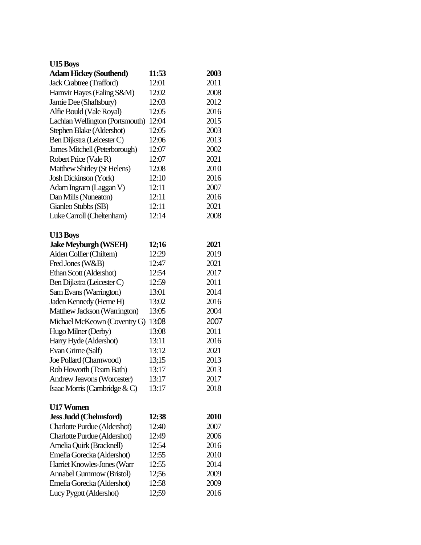| <b>U15 Boys</b>                 |       |      |
|---------------------------------|-------|------|
| <b>Adam Hickey (Southend)</b>   | 11:53 | 2003 |
| Jack Crabtree (Trafford)        | 12:01 | 2011 |
| Harnvir Hayes (Ealing S&M)      | 12:02 | 2008 |
| Jamie Dee (Shaftsbury)          | 12:03 | 2012 |
| Alfie Bould (Vale Royal)        | 12:05 | 2016 |
| Lachlan Wellington (Portsmouth) | 12:04 | 2015 |
| Stephen Blake (Aldershot)       | 12:05 | 2003 |
| Ben Dijkstra (Leicester C)      | 12:06 | 2013 |
| James Mitchell (Peterborough)   | 12:07 | 2002 |
| Robert Price (Vale R)           | 12:07 | 2021 |
| Matthew Shirley (St Helens)     | 12:08 | 2010 |
| Josh Dickinson (York)           | 12:10 | 2016 |
| Adam Ingram (Laggan V)          | 12:11 | 2007 |
| Dan Mills (Nuneaton)            | 12:11 | 2016 |
| Gianleo Stubbs (SB)             | 12:11 | 2021 |
| Luke Carroll (Cheltenham)       | 12:14 | 2008 |
| U13 Boys                        |       |      |
| <b>Jake Meyburgh (WSEH)</b>     | 12;16 | 2021 |
| Aiden Collier (Chiltern)        | 12:29 | 2019 |
| Fred Jones (W&B)                | 12:47 | 2021 |
| Ethan Scott (Aldershot)         | 12:54 | 2017 |
| Ben Dijkstra (Leicester C)      | 12:59 | 2011 |
| Sam Evans (Warrington)          | 13:01 | 2014 |
| Jaden Kennedy (Herne H)         | 13:02 | 2016 |
| Matthew Jackson (Warrington)    | 13:05 | 2004 |
| Michael McKeown (Coventry G)    | 13:08 | 2007 |
| Hugo Milner (Derby)             | 13:08 | 2011 |
| Harry Hyde (Aldershot)          | 13:11 | 2016 |
| Evan Grime (Salf)               | 13:12 | 2021 |
| Joe Pollard (Charnwood)         | 13;15 | 2013 |
| Rob Howorth (Team Bath)         | 13:17 | 2013 |
| Andrew Jeavons (Worcester)      | 13:17 | 2017 |
| Isaac Morris (Cambridge & C)    | 13:17 | 2018 |
| <b>U17 Women</b>                |       |      |
| <b>Jess Judd (Chelmsford)</b>   | 12:38 | 2010 |
| Charlotte Purdue (Aldershot)    | 12:40 | 2007 |
| Charlotte Purdue (Aldershot)    | 12:49 | 2006 |
| Amelia Quirk (Bracknell)        | 12:54 | 2016 |
| Emelia Gorecka (Aldershot)      | 12:55 | 2010 |
| Harriet Knowles-Jones (Warr     | 12:55 | 2014 |
| Annabel Gummow (Bristol)        | 12;56 | 2009 |
| Emelia Gorecka (Aldershot)      | 12:58 | 2009 |
| Lucy Pygott (Aldershot)         | 12;59 | 2016 |
|                                 |       |      |